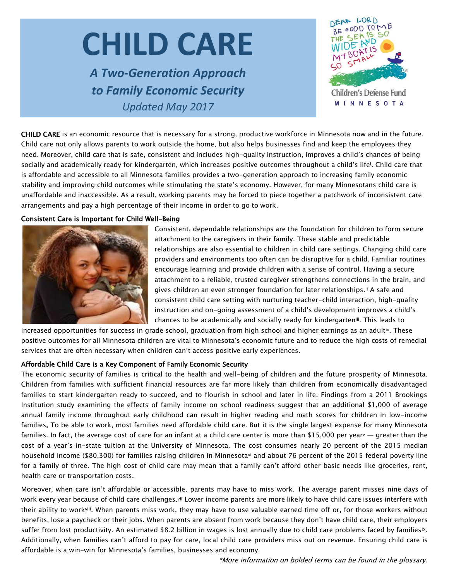# **CHILD CARE**

*A Two-Generation Approach to Family Economic Security Updated May 2017*



**Children's Defense Fund MINNESOTA** 

CHILD CARE is an economic resource that is necessary for a strong, productive workforce in Minnesota now and in the future. Child care not only allows parents to work outside the home, but also helps businesses find and keep the employees they need. Moreover, child care that is safe, consistent and includes high-quality instruction, improves a child's chances of being socially and academically ready for kindergarten, which increases positive outcomes throughout a child's lifei. Child care that is affordable and accessible to all Minnesota families provides a two-generation approach to increasing family economic stability and improving child outcomes while stimulating the state's economy. However, for many Minnesotans child care is unaffordable and inaccessible. As a result, working parents may be forced to piece together a patchwork of inconsistent care arrangements and pay a high percentage of their income in order to go to work.

#### Consistent Care is Important for Child Well-Being



Consistent, dependable relationships are the foundation for children to form secure attachment to the caregivers in their family. These stable and predictable relationships are also essential to children in child care settings. Changing child care providers and environments too often can be disruptive for a child. Familiar routines encourage learning and provide children with a sense of control. Having a secure attachment to a reliable, trusted caregiver strengthens connections in the brain, and gives children an even stronger foundation for later relationships.<sup>ii</sup> A safe and consistent child care setting with nurturing teacher-child interaction, high-quality instruction and on-going assessment of a child's development improves a child's chances to be academically and socially ready for kindergarteniii. This leads to

increased opportunities for success in grade school, graduation from high school and higher earnings as an adultiv. These positive outcomes for all Minnesota children are vital to Minnesota's economic future and to reduce the high costs of remedial services that are often necessary when children can't access positive early experiences.

#### Affordable Child Care is a Key Component of Family Economic Security

The economic security of families is critical to the health and well-being of children and the future prosperity of Minnesota. Children from families with sufficient financial resources are far more likely than children from economically disadvantaged families to start kindergarten ready to succeed, and to flourish in school and later in life. Findings from a 2011 Brookings Institution study examining the effects of family income on school readiness suggest that an additional \$1,000 of average annual family income throughout early childhood can result in higher reading and math scores for children in low-income families. To be able to work, most families need affordable child care. But it is the single largest expense for many Minnesota families. In fact, the average cost of care for an infant at a child care center is more than \$15,000 per yearv — greater than the cost of a year's in-state tuition at the University of Minnesota. The cost consumes nearly 20 percent of the 2015 median household income (\$80,300) for families raising children in Minnesotavi and about 76 percent of the 2015 federal poverty line for a family of three. The high cost of child care may mean that a family can't afford other basic needs like groceries, rent, health care or transportation costs.

Moreover, when care isn't affordable or accessible, parents may have to miss work. The average parent misses nine days of work every year because of child care challenges.<sup>vii</sup> Lower income parents are more likely to have child care issues interfere with their ability to workviii. When parents miss work, they may have to use valuable earned time off or, for those workers without benefits, lose a paycheck or their jobs. When parents are absent from work because they don't have child care, their employers suffer from lost productivity. An estimated \$8.2 billion in wages is lost annually due to child care problems faced by familiesix. Additionally, when families can't afford to pay for care, local child care providers miss out on revenue. Ensuring child care is affordable is a win-win for Minnesota's families, businesses and economy.

\*More information on bolded terms can be found in the glossary.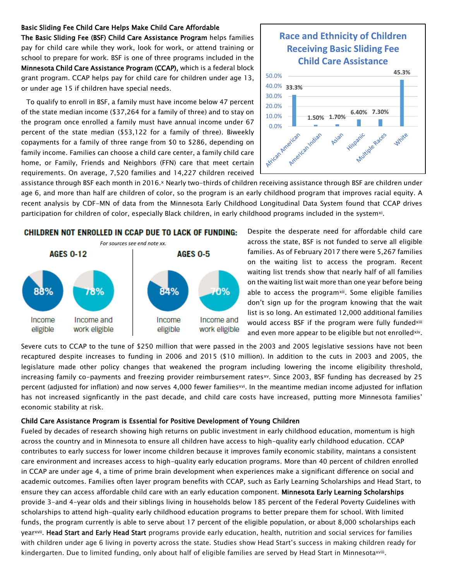#### Basic Sliding Fee Child Care Helps Make Child Care Affordable

The Basic Sliding Fee (BSF) Child Care Assistance Program helps families pay for child care while they work, look for work, or attend training or school to prepare for work. BSF is one of three programs included in the Minnesota Child Care Assistance Program (CCAP), which is a federal block grant program. CCAP helps pay for child care for children under age 13, or under age 15 if children have special needs.

To qualify to enroll in BSF, a family must have income below 47 percent of the state median income (\$37,264 for a family of three) and to stay on the program once enrolled a family must have annual income under 67 percent of the state median (\$53,122 for a family of three). Biweekly copayments for a family of three range from \$0 to \$286, depending on family income. Families can choose a child care center, a family child care home, or Family, Friends and Neighbors (FFN) care that meet certain requirements. On average, 7,520 families and 14,227 children received

### **Race and Ethnicity of Children Receiving Basic Sliding Fee Child Care Assistance**



assistance through BSF each month in 2016.× Nearly two-thirds of children receiving assistance through BSF are children under age 6, and more than half are children of color, so the program is an early childhood program that improves racial equity. A recent analysis by CDF-MN of data from the Minnesota Early Childhood Longitudinal Data System found that CCAP drives participation for children of color, especially Black children, in early childhood programs included in the system<sup>xi</sup>.



Despite the desperate need for affordable child care across the state, BSF is not funded to serve all eligible families. As of February 2017 there were 5,267 families on the waiting list to access the program. Recent waiting list trends show that nearly half of all families on the waiting list wait more than one year before being able to access the program<sup>xii</sup>. Some eligible families don't sign up for the program knowing that the wait list is so long. An estimated 12,000 additional families would access BSF if the program were fully fundedxiii and even more appear to be eligible but not enrolledxiv.

Severe cuts to CCAP to the tune of \$250 million that were passed in the 2003 and 2005 legislative sessions have not been recaptured despite increases to funding in 2006 and 2015 (\$10 million). In addition to the cuts in 2003 and 2005, the legislature made other policy changes that weakened the program including lowering the income eligibility threshold, increasing family co-payments and freezing provider reimbursement ratesxy. Since 2003, BSF funding has decreased by 25 percent (adjusted for inflation) and now serves 4,000 fewer families<sup>xvi</sup>. In the meantime median income adjusted for inflation has not increased signficantly in the past decade, and child care costs have increased, putting more Minnesota families' economic stability at risk.

#### Child Care Assistance Program is Essential for Positive Development of Young Children

Fueled by decades of research showing high returns on public investment in early childhood education, momentum is high across the country and in Minnesota to ensure all children have access to high-quality early childhood education. CCAP contributes to early success for lower income children because it improves family economic stability, maintans a consistent care environment and increases access to high-quality early education programs. More than 40 percent of children enrolled in CCAP are under age 4, a time of prime brain development when experiences make a significant difference on social and academic outcomes. Families often layer program benefits with CCAP, such as Early Learning Scholarships and Head Start, to ensure they can access affordable child care with an early education component. Minnesota Early Learning Scholarships provide 3-and 4-year olds and their siblings living in households below 185 percent of the Federal Poverty Guidelines with scholarships to attend high-quality early childhood education programs to better prepare them for school. With limited funds, the program currently is able to serve about 17 percent of the eligible population, or about 8,000 scholarships each year<sup>xvii</sup>. Head Start and Early Head Start programs provide early education, health, nutrition and social services for families with children under age 6 living in poverty across the state. Studies show Head Start's success in making children ready for kindergarten. Due to limited funding, only about half of eligible families are served by Head Start in Minnesotaxviii.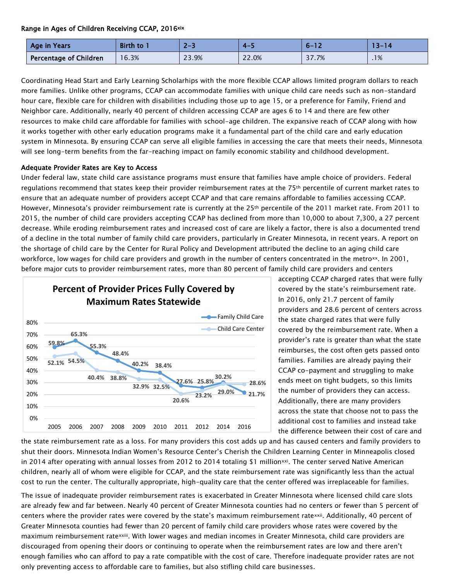#### Range in Ages of Children Receiving CCAP, 2016xix

| Age in Years           | <b>Birth to</b> | $2 - 3$ | $\mathbf{A}$ | $6 - 17$ | 13–14 |
|------------------------|-----------------|---------|--------------|----------|-------|
| Percentage of Children | 16.3%           | 23.9%   | 22.0%        | 37.7%    | .1%   |

Coordinating Head Start and Early Learning Scholarhips with the more flexible CCAP allows limited program dollars to reach more families. Unlike other programs, CCAP can accommodate families with unique child care needs such as non-standard hour care, flexible care for children with disabilities including those up to age 15, or a preference for Family, Friend and Neighbor care. Additionally, nearly 40 percent of children accessing CCAP are ages 6 to 14 and there are few other resources to make child care affordable for families with school-age children. The expansive reach of CCAP along with how it works together with other early education programs make it a fundamental part of the child care and early education system in Minnesota. By ensuring CCAP can serve all eligible families in accessing the care that meets their needs, Minnesota will see long-term benefits from the far-reaching impact on family economic stability and childhood development.

#### Adequate Provider Rates are Key to Access

Under federal law, state child care assistance programs must ensure that families have ample choice of providers. Federal regulations recommend that states keep their provider reimbursement rates at the 75<sup>th</sup> percentile of current market rates to ensure that an adequate number of providers accept CCAP and that care remains affordable to families accessing CCAP. However, Minnesota's provider reimbursement rate is currently at the 25th percentile of the 2011 market rate. From 2011 to 2015, the number of child care providers accepting CCAP has declined from more than 10,000 to about 7,300, a 27 percent decrease. While eroding reimbursement rates and increased cost of care are likely a factor, there is also a documented trend of a decline in the total number of family child care providers, particularly in Greater Minnesota, in recent years. A report on the shortage of child care by the Center for Rural Policy and Development attributed the decline to an aging child care workforce, low wages for child care providers and growth in the number of centers concentrated in the metro<sup>xx</sup>. In 2001, before major cuts to provider reimbursement rates, more than 80 percent of family child care providers and centers



accepting CCAP charged rates that were fully covered by the state's reimbursement rate. In 2016, only 21.7 percent of family providers and 28.6 percent of centers across the state charged rates that were fully covered by the reimbursement rate. When a provider's rate is greater than what the state reimburses, the cost often gets passed onto families. Families are already paying their CCAP co-payment and struggling to make ends meet on tight budgets, so this limits the number of providers they can access. Additionally, there are many providers across the state that choose not to pass the additional cost to families and instead take the difference between their cost of care and

the state reimbursement rate as a loss. For many providers this cost adds up and has caused centers and family providers to shut their doors. Minnesota Indian Women's Resource Center's Cherish the Children Learning Center in Minneapolis closed in 2014 after operating with annual losses from 2012 to 2014 totaling \$1 million<sup>xxi</sup>. The center served Native American children, nearly all of whom were eligible for CCAP, and the state reimbursement rate was significantly less than the actual cost to run the center. The culturally appropriate, high-quality care that the center offered was irreplaceable for families.

The issue of inadequate provider reimbursement rates is exacerbated in Greater Minnesota where licensed child care slots are already few and far between. Nearly 40 percent of Greater Minnesota counties had no centers or fewer than 5 percent of centers where the provider rates were covered by the state's maximum reimbursement ratexxii. Additionally, 40 percent of Greater Minnesota counties had fewer than 20 percent of family child care providers whose rates were covered by the maximum reimbursement ratexxiii. With lower wages and median incomes in Greater Minnesota, child care providers are discouraged from opening their doors or continuing to operate when the reimbursement rates are low and there aren't enough families who can afford to pay a rate compatible with the cost of care. Therefore inadequate provider rates are not only preventing access to affordable care to families, but also stifling child care businesses.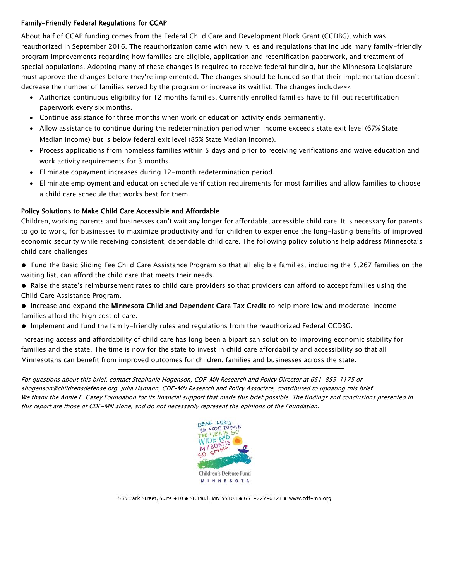#### Family-Friendly Federal Regulations for CCAP

About half of CCAP funding comes from the Federal Child Care and Development Block Grant (CCDBG), which was reauthorized in September 2016. The reauthorization came with new rules and regulations that include many family-friendly program improvements regarding how families are eligible, application and recertification paperwork, and treatment of special populations. Adopting many of these changes is required to receive federal funding, but the Minnesota Legislature must approve the changes before they're implemented. The changes should be funded so that their implementation doesn't decrease the number of families served by the program or increase its waitlist. The changes includexxiv:

- Authorize continuous eligibility for 12 months families. Currently enrolled families have to fill out recertification paperwork every six months.
- Continue assistance for three months when work or education activity ends permanently.
- Allow assistance to continue during the redetermination period when income exceeds state exit level (67% State Median Income) but is below federal exit level (85% State Median Income).
- Process applications from homeless families within 5 days and prior to receiving verifications and waive education and work activity requirements for 3 months.
- Eliminate copayment increases during 12-month redetermination period.
- Eliminate employment and education schedule verification requirements for most families and allow families to choose a child care schedule that works best for them.

#### Policy Solutions to Make Child Care Accessible and Affordable

Children, working parents and businesses can't wait any longer for affordable, accessible child care. It is necessary for parents to go to work, for businesses to maximize productivity and for children to experience the long-lasting benefits of improved economic security while receiving consistent, dependable child care. The following policy solutions help address Minnesota's child care challenges:

- Fund the Basic Sliding Fee Child Care Assistance Program so that all eligible families, including the 5,267 families on the waiting list, can afford the child care that meets their needs.
- Raise the state's reimbursement rates to child care providers so that providers can afford to accept families using the Child Care Assistance Program.
- Increase and expand the Minnesota Child and Dependent Care Tax Credit to help more low and moderate-income families afford the high cost of care.
- Implement and fund the family-friendly rules and regulations from the reauthorized Federal CCDBG.

Increasing access and affordability of child care has long been a bipartisan solution to improving economic stability for families and the state. The time is now for the state to invest in child care affordability and accessibility so that all Minnesotans can benefit from improved outcomes for children, families and businesses across the state.

For questions about this brief, contact Stephanie Hogenson, CDF-MN Research and Policy Director at 651-855-1175 or shogenson@childrensdefense.org. Julia Hamann, CDF-MN Research and Policy Associate, contributed to updating this brief. We thank the Annie E. Casey Foundation for its financial support that made this brief possible. The findings and conclusions presented in this report are those of CDF-MN alone, and do not necessarily represent the opinions of the Foundation.

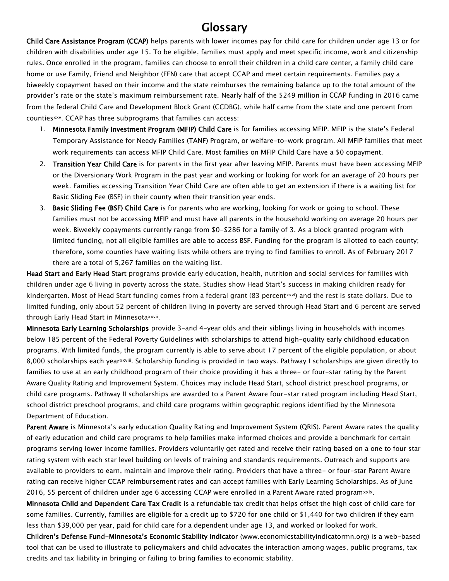# Glossary

Child Care Assistance Program (CCAP) helps parents with lower incomes pay for child care for children under age 13 or for children with disabilities under age 15. To be eligible, families must apply and meet specific income, work and citizenship rules. Once enrolled in the program, families can choose to enroll their children in a child care center, a family child care home or use Family, Friend and Neighbor (FFN) care that accept CCAP and meet certain requirements. Families pay a biweekly copayment based on their income and the state reimburses the remaining balance up to the total amount of the provider's rate or the state's maximum reimbursement rate. Nearly half of the \$249 million in CCAP funding in 2016 came from the federal Child Care and Development Block Grant (CCDBG), while half came from the state and one percent from countiesxxv. CCAP has three subprograms that families can access:

- 1. Minnesota Family Investment Program (MFIP) Child Care is for families accessing MFIP. MFIP is the state's Federal Temporary Assistance for Needy Families (TANF) Program, or welfare-to-work program. All MFIP families that meet work requirements can access MFIP Child Care. Most families on MFIP Child Care have a \$0 copayment.
- 2. Transition Year Child Care is for parents in the first year after leaving MFIP. Parents must have been accessing MFIP or the Diversionary Work Program in the past year and working or looking for work for an average of 20 hours per week. Families accessing Transition Year Child Care are often able to get an extension if there is a waiting list for Basic Sliding Fee (BSF) in their county when their transition year ends.
- 3. Basic Sliding Fee (BSF) Child Care is for parents who are working, looking for work or going to school. These families must not be accessing MFIP and must have all parents in the household working on average 20 hours per week. Biweekly copayments currently range from \$0-\$286 for a family of 3. As a block granted program with limited funding, not all eligible families are able to access BSF. Funding for the program is allotted to each county; therefore, some counties have waiting lists while others are trying to find families to enroll. As of February 2017 there are a total of 5,267 families on the waiting list.

Head Start and Early Head Start programs provide early education, health, nutrition and social services for families with children under age 6 living in poverty across the state. Studies show Head Start's success in making children ready for kindergarten. Most of Head Start funding comes from a federal grant (83 percentxxvi) and the rest is state dollars. Due to limited funding, only about 52 percent of children living in poverty are served through Head Start and 6 percent are served through Early Head Start in Minnesotaxxvii.

Minnesota Early Learning Scholarships provide 3-and 4-year olds and their siblings living in households with incomes below 185 percent of the Federal Poverty Guidelines with scholarships to attend high-quality early childhood education programs. With limited funds, the program currently is able to serve about 17 percent of the eligible population, or about 8,000 scholarships each year<sup>xxviii</sup>. Scholarship funding is provided in two ways. Pathway I scholarships are given directly to families to use at an early childhood program of their choice providing it has a three- or four-star rating by the Parent Aware Quality Rating and Improvement System. Choices may include Head Start, school district preschool programs, or child care programs. Pathway II scholarships are awarded to a Parent Aware four-star rated program including Head Start, school district preschool programs, and child care programs within geographic regions identified by the Minnesota Department of Education.

Parent Aware is Minnesota's early education Quality Rating and Improvement System (QRIS). Parent Aware rates the quality of early education and child care programs to help families make informed choices and provide a benchmark for certain programs serving lower income families. Providers voluntarily get rated and receive their rating based on a one to four star rating system with each star level building on levels of training and standards requirements. Outreach and supports are available to providers to earn, maintain and improve their rating. Providers that have a three- or four-star Parent Aware rating can receive higher CCAP reimbursement rates and can accept families with Early Learning Scholarships. As of June 2016, 55 percent of children under age 6 accessing CCAP were enrolled in a Parent Aware rated programxxix.

Minnesota Child and Dependent Care Tax Credit is a refundable tax credit that helps offset the high cost of child care for some families. Currently, families are eligible for a credit up to \$720 for one child or \$1,440 for two children if they earn less than \$39,000 per year, paid for child care for a dependent under age 13, and worked or looked for work.

Children's Defense Fund-Minnesota's Economic Stability Indicator (www.economicstabilityindicatormn.org) is a web-based tool that can be used to illustrate to policymakers and child advocates the interaction among wages, public programs, tax credits and tax liability in bringing or failing to bring families to economic stability.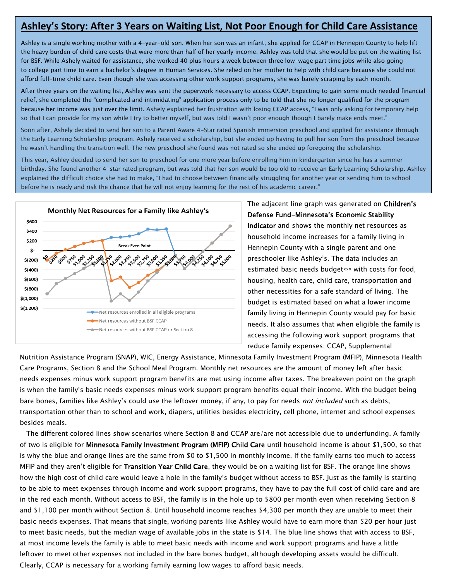## **Ashley's Story: After 3 Years on Waiting List, Not Poor Enough for Child Care Assistance**

Ashley is a single working mother with a 4-year-old son. When her son was an infant, she applied for CCAP in Hennepin County to help lift the heavy burden of child care costs that were more than half of her yearly income. Ashley was told that she would be put on the waiting list for BSF. While Ashely waited for assistance, she worked 40 plus hours a week between three low-wage part time jobs while also going to college part time to earn a bachelor's degree in Human Services. She relied on her mother to help with child care because she could not afford full-time child care. Even though she was accessing other work support programs, she was barely scraping by each month.

After three years on the waiting list, Ashley was sent the paperwork necessary to access CCAP. Expecting to gain some much needed financial relief, she completed the "complicated and intimidating" application process only to be told that she no longer qualified for the program because her income was just over the limit. Ashely explained her frustration with losing CCAP access, "I was only asking for temporary help so that I can provide for my son while I try to better myself, but was told I wasn't poor enough though I barely make ends meet."

Soon after, Ashely decided to send her son to a Parent Aware 4-Star rated Spanish immersion preschool and applied for assistance through the Early Learning Scholarship program. Ashely received a scholarship, but she ended up having to pull her son from the preschool because he wasn't handling the transition well. The new preschool she found was not rated so she ended up foregoing the scholarship.

This year, Ashley decided to send her son to preschool for one more year before enrolling him in kindergarten since he has a summer birthday. She found another 4-star rated program, but was told that her son would be too old to receive an Early Learning Scholarship. Ashley explained the difficult choice she had to make, "I had to choose between financially struggling for another year or sending him to school before he is ready and risk the chance that he will not enjoy learning for the rest of his academic career."



The adjacent line graph was generated on Children's Defense Fund-Minnesota's Economic Stability Indicator and shows the monthly net resources as household income increases for a family living in Hennepin County with a single parent and one preschooler like Ashley's. The data includes an estimated basic needs budgetxxx with costs for food, housing, health care, child care, transportation and other necessities for a safe standard of living. The budget is estimated based on what a lower income family living in Hennepin County would pay for basic needs. It also assumes that when eligible the family is accessing the following work support programs that reduce family expenses: CCAP, Supplemental

Nutrition Assistance Program (SNAP), WIC, Energy Assistance, Minnesota Family Investment Program (MFIP), Minnesota Health Care Programs, Section 8 and the School Meal Program. Monthly net resources are the amount of money left after basic needs expenses minus work support program benefits are met using income after taxes. The breakeven point on the graph is when the family's basic needs expenses minus work support program benefits equal their income. With the budget being bare bones, families like Ashley's could use the leftover money, if any, to pay for needs *not included* such as debts, transportation other than to school and work, diapers, utilities besides electricity, cell phone, internet and school expenses besides meals.

The different colored lines show scenarios where Section 8 and CCAP are/are not accessible due to underfunding. A family of two is eligible for Minnesota Family Investment Program (MFIP) Child Care until household income is about \$1,500, so that is why the blue and orange lines are the same from \$0 to \$1,500 in monthly income. If the family earns too much to access MFIP and they aren't eligible for Transition Year Child Care, they would be on a waiting list for BSF. The orange line shows how the high cost of child care would leave a hole in the family's budget without access to BSF. Just as the family is starting to be able to meet expenses through income and work support programs, they have to pay the full cost of child care and are in the red each month. Without access to BSF, the family is in the hole up to \$800 per month even when receiving Section 8 and \$1,100 per month without Section 8. Until household income reaches \$4,300 per month they are unable to meet their basic needs expenses. That means that single, working parents like Ashley would have to earn more than \$20 per hour just to meet basic needs, but the median wage of available jobs in the state is \$14. The blue line shows that with access to BSF, at most income levels the family is able to meet basic needs with income and work support programs and have a little leftover to meet other expenses not included in the bare bones budget, although developing assets would be difficult. Clearly, CCAP is necessary for a working family earning low wages to afford basic needs.